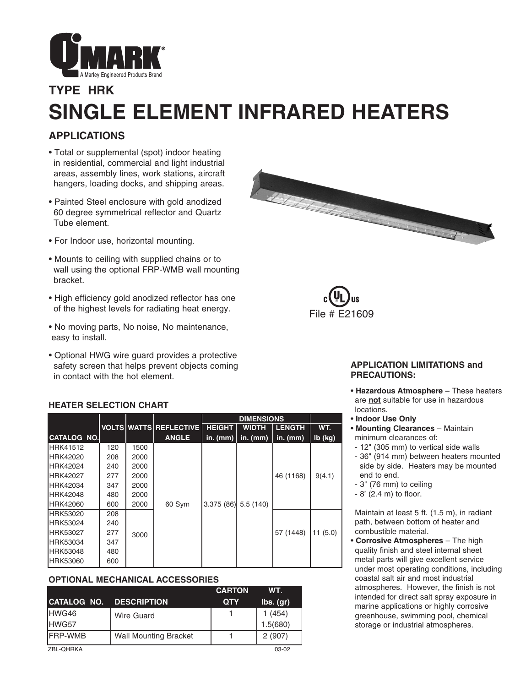

# **TYPE HRK SINGLE ELEMENT INFRARED HEATERS**

## **APPLICATIONS**

- Total or supplemental (spot) indoor heating in residential, commercial and light industrial areas, assembly lines, work stations, aircraft hangers, loading docks, and shipping areas.
- Painted Steel enclosure with gold anodized 60 degree symmetrical reflector and Quartz Tube element.
- For Indoor use, horizontal mounting.
- Mounts to ceiling with supplied chains or to wall using the optional FRP-WMB wall mounting bracket.
- High efficiency gold anodized reflector has one of the highest levels for radiating heat energy.
- No moving parts, No noise, No maintenance, easy to install.
- Optional HWG wire guard provides a protective safety screen that helps prevent objects coming in contact with the hot element.





#### **APPLICATION LIMITATIONS and PRECAUTIONS:**

- **Hazardous Atmosphere** These heaters are **not** suitable for use in hazardous locations.
- **Indoor Use Only**
- **Mounting Clearances** Maintain minimum clearances of:
- 12" (305 mm) to vertical side walls
- 36" (914 mm) between heaters mounted side by side. Heaters may be mounted end to end.
- 3" (76 mm) to ceiling
- 8' (2.4 m) to floor.

Maintain at least 5 ft. (1.5 m), in radiant path, between bottom of heater and combustible material.

• **Corrosive Atmospheres** – The high quality finish and steel internal sheet metal parts will give excellent service under most operating conditions, including coastal salt air and most industrial atmospheres. However, the finish is not intended for direct salt spray exposure in marine applications or highly corrosive greenhouse, swimming pool, chemical storage or industrial atmospheres.

#### **HEATER SELECTION CHART**

|                    |     |      |                        | <b>DIMENSIONS</b>     |              |               |           |
|--------------------|-----|------|------------------------|-----------------------|--------------|---------------|-----------|
|                    |     |      | VOLTS WATTS REFLECTIVE | <b>HEIGHT</b>         | <b>WIDTH</b> | <b>LENGTH</b> | WT.       |
| <b>CATALOG NO.</b> |     |      | <b>ANGLE</b>           | in. $(mm)$            | in. $(mm)$   | in. $(mm)$    | $Ib$ (kg) |
| IHRK41512          | 120 | 1500 |                        |                       |              |               |           |
| IHRK42020          | 208 | 2000 |                        |                       |              |               |           |
| <b>IHRK42024</b>   | 240 | 2000 |                        |                       |              |               |           |
| <b>HRK42027</b>    | 277 | 2000 |                        |                       |              | 46 (1168)     | 9(4.1)    |
| <b>IHRK42034</b>   | 347 | 2000 |                        |                       |              |               |           |
| <b>IHRK42048</b>   | 480 | 2000 |                        |                       |              |               |           |
| <b>HRK42060</b>    | 600 | 2000 | 60 Sym                 | $3.375(86)$ 5.5 (140) |              |               |           |
| IHRK53020          | 208 |      |                        |                       |              |               |           |
| <b>HRK53024</b>    | 240 |      |                        |                       |              |               |           |
| <b>IHRK53027</b>   | 277 | 3000 |                        |                       |              | 57 (1448)     | 11(5.0)   |
| <b>IHRK53034</b>   | 347 |      |                        |                       |              |               |           |
| <b>IHRK53048</b>   | 480 |      |                        |                       |              |               |           |
| <b>IHRK53060</b>   | 600 |      |                        |                       |              |               |           |

#### **OPTIONAL MECHANICAL ACCESSORIES**

|                 |                              | <b>CARTON</b> | WT.       |
|-----------------|------------------------------|---------------|-----------|
| CATALOG NO.     | <b>DESCRIPTION</b>           | <b>QTY</b>    | lbs. (gr) |
| HWG46           | Wire Guard                   |               | 1(454)    |
| HWG57           |                              |               | 1.5(680)  |
| <b>IFRP-WMB</b> | <b>Wall Mounting Bracket</b> |               | 2(907)    |
| ZBL-OHRKA       |                              |               | 03-02     |